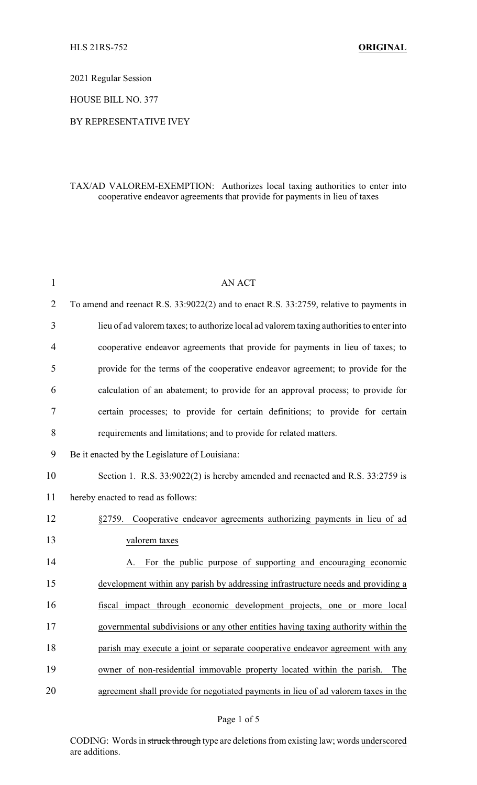2021 Regular Session

HOUSE BILL NO. 377

#### BY REPRESENTATIVE IVEY

# TAX/AD VALOREM-EXEMPTION: Authorizes local taxing authorities to enter into cooperative endeavor agreements that provide for payments in lieu of taxes

| 1  | <b>AN ACT</b>                                                                            |
|----|------------------------------------------------------------------------------------------|
| 2  | To amend and reenact R.S. 33:9022(2) and to enact R.S. 33:2759, relative to payments in  |
| 3  | lieu of ad valorem taxes; to authorize local ad valorem taxing authorities to enter into |
| 4  | cooperative endeavor agreements that provide for payments in lieu of taxes; to           |
| 5  | provide for the terms of the cooperative endeavor agreement; to provide for the          |
| 6  | calculation of an abatement; to provide for an approval process; to provide for          |
| 7  | certain processes; to provide for certain definitions; to provide for certain            |
| 8  | requirements and limitations; and to provide for related matters.                        |
| 9  | Be it enacted by the Legislature of Louisiana:                                           |
| 10 | Section 1. R.S. 33:9022(2) is hereby amended and reenacted and R.S. 33:2759 is           |
| 11 | hereby enacted to read as follows:                                                       |
| 12 | Cooperative endeavor agreements authorizing payments in lieu of ad<br>§2759.             |
| 13 | valorem taxes                                                                            |
| 14 | For the public purpose of supporting and encouraging economic<br>А.                      |
| 15 | development within any parish by addressing infrastructure needs and providing a         |
| 16 | fiscal impact through economic development projects, one or more local                   |
| 17 | governmental subdivisions or any other entities having taxing authority within the       |
| 18 | parish may execute a joint or separate cooperative endeavor agreement with any           |
| 19 | owner of non-residential immovable property located within the parish.<br>The            |
| 20 | agreement shall provide for negotiated payments in lieu of ad valorem taxes in the       |

### Page 1 of 5

CODING: Words in struck through type are deletions from existing law; words underscored are additions.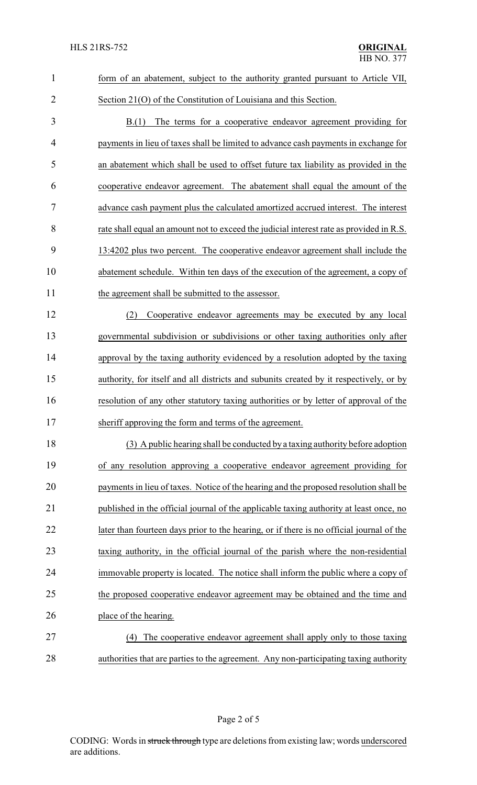| $\mathbf{1}$   | form of an abatement, subject to the authority granted pursuant to Article VII,          |
|----------------|------------------------------------------------------------------------------------------|
| $\overline{2}$ | Section 21(O) of the Constitution of Louisiana and this Section.                         |
| 3              | The terms for a cooperative endeavor agreement providing for<br>B(1)                     |
| $\overline{4}$ | payments in lieu of taxes shall be limited to advance cash payments in exchange for      |
| 5              | an abatement which shall be used to offset future tax liability as provided in the       |
| 6              | cooperative endeavor agreement. The abatement shall equal the amount of the              |
| 7              | advance cash payment plus the calculated amortized accrued interest. The interest        |
| 8              | rate shall equal an amount not to exceed the judicial interest rate as provided in R.S.  |
| 9              | 13:4202 plus two percent. The cooperative endeavor agreement shall include the           |
| 10             | abatement schedule. Within ten days of the execution of the agreement, a copy of         |
| 11             | the agreement shall be submitted to the assessor.                                        |
| 12             | Cooperative endeavor agreements may be executed by any local<br>(2)                      |
| 13             | governmental subdivision or subdivisions or other taxing authorities only after          |
| 14             | approval by the taxing authority evidenced by a resolution adopted by the taxing         |
| 15             | authority, for itself and all districts and subunits created by it respectively, or by   |
| 16             | resolution of any other statutory taxing authorities or by letter of approval of the     |
| 17             | sheriff approving the form and terms of the agreement.                                   |
| 18             | (3) A public hearing shall be conducted by a taxing authority before adoption            |
| 19             | of any resolution approving a cooperative endeavor agreement providing for               |
| 20             | payments in lieu of taxes. Notice of the hearing and the proposed resolution shall be    |
| 21             | published in the official journal of the applicable taxing authority at least once, no   |
| 22             | later than fourteen days prior to the hearing, or if there is no official journal of the |
| 23             | taxing authority, in the official journal of the parish where the non-residential        |
| 24             | immovable property is located. The notice shall inform the public where a copy of        |
| 25             | the proposed cooperative endeavor agreement may be obtained and the time and             |
| 26             | place of the hearing.                                                                    |
| 27             | The cooperative endeavor agreement shall apply only to those taxing<br>(4)               |
| 28             | authorities that are parties to the agreement. Any non-participating taxing authority    |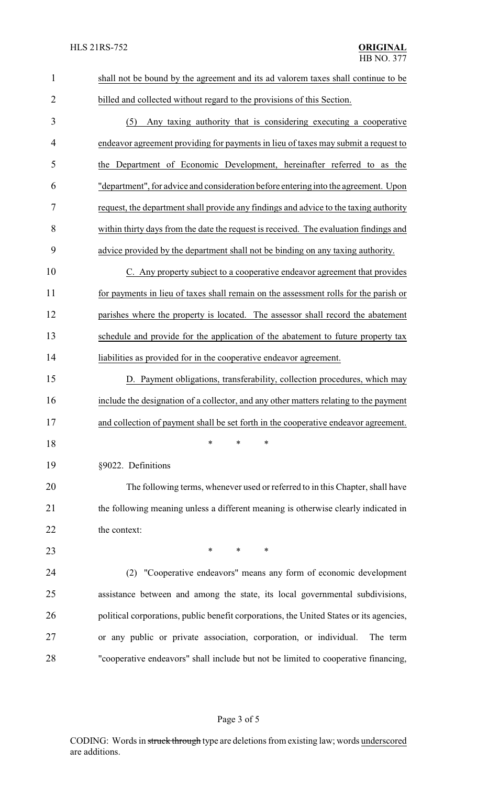| $\mathbf{1}$   | shall not be bound by the agreement and its ad valorem taxes shall continue to be       |
|----------------|-----------------------------------------------------------------------------------------|
| $\overline{2}$ | billed and collected without regard to the provisions of this Section.                  |
| 3              | Any taxing authority that is considering executing a cooperative<br>(5)                 |
| $\overline{4}$ | endeavor agreement providing for payments in lieu of taxes may submit a request to      |
| 5              | the Department of Economic Development, hereinafter referred to as the                  |
| 6              | "department", for advice and consideration before entering into the agreement. Upon     |
| 7              | request, the department shall provide any findings and advice to the taxing authority   |
| 8              | within thirty days from the date the request is received. The evaluation findings and   |
| 9              | advice provided by the department shall not be binding on any taxing authority.         |
| 10             | C. Any property subject to a cooperative endeavor agreement that provides               |
| 11             | for payments in lieu of taxes shall remain on the assessment rolls for the parish or    |
| 12             | parishes where the property is located. The assessor shall record the abatement         |
| 13             | schedule and provide for the application of the abatement to future property tax        |
| 14             | liabilities as provided for in the cooperative endeavor agreement.                      |
| 15             | D. Payment obligations, transferability, collection procedures, which may               |
| 16             | include the designation of a collector, and any other matters relating to the payment   |
| 17             | and collection of payment shall be set forth in the cooperative endeavor agreement.     |
| 18             | $\ast$<br>∗<br>*                                                                        |
| 19             | §9022. Definitions                                                                      |
| 20             | The following terms, whenever used or referred to in this Chapter, shall have           |
| 21             | the following meaning unless a different meaning is otherwise clearly indicated in      |
| 22             | the context:                                                                            |
| 23             | *<br>*<br>*                                                                             |
| 24             | (2) "Cooperative endeavors" means any form of economic development                      |
| 25             | assistance between and among the state, its local governmental subdivisions,            |
| 26             | political corporations, public benefit corporations, the United States or its agencies, |
| 27             | or any public or private association, corporation, or individual.<br>The term           |
| 28             | "cooperative endeavors" shall include but not be limited to cooperative financing,      |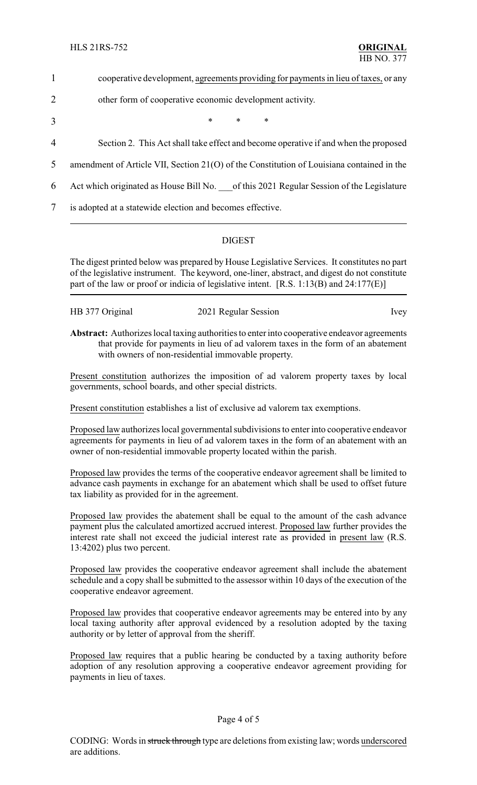- 1 cooperative development, agreements providing for payments in lieu of taxes, or any
- 2 other form of cooperative economic development activity.
- $3$  \* \* \*
- 4 Section 2. This Act shall take effect and become operative if and when the proposed
- 5 amendment of Article VII, Section 21(O) of the Constitution of Louisiana contained in the
- 6 Act which originated as House Bill No. \_\_\_of this 2021 Regular Session of the Legislature

7 is adopted at a statewide election and becomes effective.

## DIGEST

The digest printed below was prepared by House Legislative Services. It constitutes no part of the legislative instrument. The keyword, one-liner, abstract, and digest do not constitute part of the law or proof or indicia of legislative intent. [R.S. 1:13(B) and 24:177(E)]

| HB 377 Original | 2021 Regular Session | <i>lvey</i> |
|-----------------|----------------------|-------------|
|                 |                      |             |

**Abstract:** Authorizes local taxing authorities to enter into cooperative endeavor agreements that provide for payments in lieu of ad valorem taxes in the form of an abatement with owners of non-residential immovable property.

Present constitution authorizes the imposition of ad valorem property taxes by local governments, school boards, and other special districts.

Present constitution establishes a list of exclusive ad valorem tax exemptions.

Proposed law authorizes local governmental subdivisions to enter into cooperative endeavor agreements for payments in lieu of ad valorem taxes in the form of an abatement with an owner of non-residential immovable property located within the parish.

Proposed law provides the terms of the cooperative endeavor agreement shall be limited to advance cash payments in exchange for an abatement which shall be used to offset future tax liability as provided for in the agreement.

Proposed law provides the abatement shall be equal to the amount of the cash advance payment plus the calculated amortized accrued interest. Proposed law further provides the interest rate shall not exceed the judicial interest rate as provided in present law (R.S. 13:4202) plus two percent.

Proposed law provides the cooperative endeavor agreement shall include the abatement schedule and a copy shall be submitted to the assessor within 10 days of the execution of the cooperative endeavor agreement.

Proposed law provides that cooperative endeavor agreements may be entered into by any local taxing authority after approval evidenced by a resolution adopted by the taxing authority or by letter of approval from the sheriff.

Proposed law requires that a public hearing be conducted by a taxing authority before adoption of any resolution approving a cooperative endeavor agreement providing for payments in lieu of taxes.

### Page 4 of 5